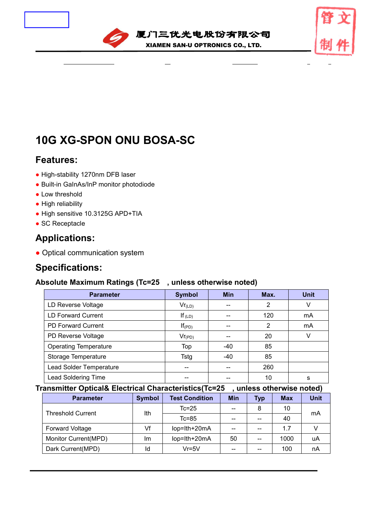



# **10G XG-SPON ONU BOSA-SC**

## **Features:**

- High-stability 1270nm DFB laser
- Built-in GaInAs/InP monitor photodiode
- Low threshold
- High reliability
- High sensitive 10.3125G APD+TIA
- SC Receptacle

## **Applications:**

• Optical communication system

## **Specifications:**

### **Absolute Maximum Ratings (Tc=25**℃**, unless otherwise noted)**

| <b>Parameter</b>             | <b>Symbol</b> | <b>Min</b> | Max. | <b>Unit</b> |
|------------------------------|---------------|------------|------|-------------|
| LD Reverse Voltage           | $Vr_{(LD)}$   | --         | 2    |             |
| <b>LD Forward Current</b>    | If $(LD)$     | --         | 120  | mA          |
| <b>PD Forward Current</b>    | $If$ (PD)     | --         | 2    | mA          |
| PD Reverse Voltage           | $Vr_{(PD)}$   | --         | 20   |             |
| <b>Operating Temperature</b> | Top           | -40        | 85   |             |
| Storage Temperature          | <b>Tstg</b>   | -40        | 85   |             |
| Lead Solder Temperature      | --            |            | 260  |             |
| <b>Lead Soldering Time</b>   | --            |            | 10   | s           |

**Transmitter Optical& Electrical Characteristics(Tc=25**℃**, unless otherwise noted)**

| <b>Parameter</b>         | <b>Symbol</b> | <b>Test Condition</b> | <b>Min</b>                            | <b>Typ</b>                                     | <b>Max</b> | <b>Unit</b> |
|--------------------------|---------------|-----------------------|---------------------------------------|------------------------------------------------|------------|-------------|
| <b>Threshold Current</b> | Ith           | $Tc=25$               | $\hspace{0.05cm}$ – $\hspace{0.05cm}$ | 8                                              | 10         |             |
|                          |               | $Tc = 85$             | --                                    | --                                             | 40         | mA          |
| <b>Forward Voltage</b>   | Vf            | lop=lth+20mA          | $\hspace{0.05cm}$ – $\hspace{0.05cm}$ | --                                             | 1.7        |             |
| Monitor Current(MPD)     | Im            | lop=lth+20mA          | 50                                    | $\hspace{0.1mm}-\hspace{0.1mm}-\hspace{0.1mm}$ | 1000       | uA          |
| Dark Current(MPD)        | Id            | $Vr = 5V$             | $- -$                                 | --                                             | 100        | nA          |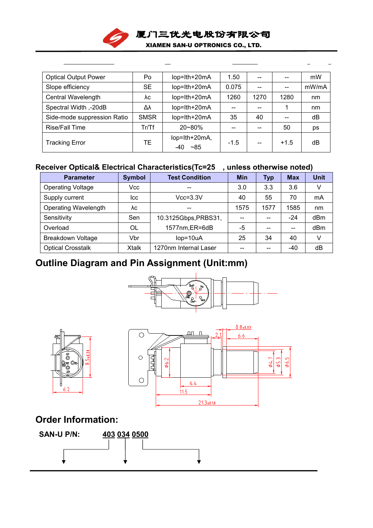

| <b>Optical Output Power</b> | Po          | lop=lth+20mA                 | 1.50              | $- -$ |        | mW    |
|-----------------------------|-------------|------------------------------|-------------------|-------|--------|-------|
| Slope efficiency            | <b>SE</b>   | lop=lth+20mA                 | 0.075             | $- -$ |        | mW/mA |
| Central Wavelength          | λc          | lop=lth+20mA                 | 1260              | 1270  | 1280   | nm    |
| Spectral Width,-20dB        | Δλ          | lop=lth+20mA                 | $\qquad \qquad -$ | --    |        | nm    |
| Side-mode suppression Ratio | <b>SMSR</b> | lop=lth+20mA                 | 35                | 40    | $- -$  | dB    |
| Rise/Fall Time              | Tr/Tf       | $20 - 80%$                   | $- -$             | --    | 50     | ps    |
| <b>Tracking Error</b>       | TЕ          | lop=lth+20mA,<br>~185<br>-40 | $-1.5$            | --    | $+1.5$ | dB    |
|                             |             |                              |                   |       |        |       |

## **Receiver Optical& Electrical Characteristics(Tc=25**℃**, unless otherwise noted)**

| <b>Parameter</b>            | <b>Symbol</b> | <b>Test Condition</b> | <b>Min</b>                            | Typ                                   | <b>Max</b>                            | <b>Unit</b> |
|-----------------------------|---------------|-----------------------|---------------------------------------|---------------------------------------|---------------------------------------|-------------|
| <b>Operating Voltage</b>    | Vcc           | $- -$                 | 3.0                                   | 3.3                                   | 3.6                                   | V           |
| Supply current              | Icc           | $Vcc = 3.3V$          | 40                                    | 55                                    | 70                                    | mA          |
| <b>Operating Wavelength</b> | λc            | $- -$                 | 1575                                  | 1577                                  | 1585                                  | nm          |
| Sensitivity                 | Sen           | 10.3125Gbps, PRBS31,  | $\hspace{0.05cm}$ – $\hspace{0.05cm}$ | $\overline{\phantom{m}}$              | $-24$                                 | dBm         |
| Overload                    | OL            | 1577nm, ER=6dB        | $-5$                                  | $\hspace{0.05cm}$ – $\hspace{0.05cm}$ | $\hspace{0.05cm}$ – $\hspace{0.05cm}$ | dBm         |
| <b>Breakdown Voltage</b>    | Vbr           | $lop=10uA$            | 25                                    | 34                                    | 40                                    | V           |
| <b>Optical Crosstalk</b>    | Xtalk         | 1270nm Internal Laser | $\overline{\phantom{a}}$              | $- -$                                 | $-40$                                 | dB          |

# **Outline Diagram and Pin Assignment (Unit:mm)**







## **Order Information:**